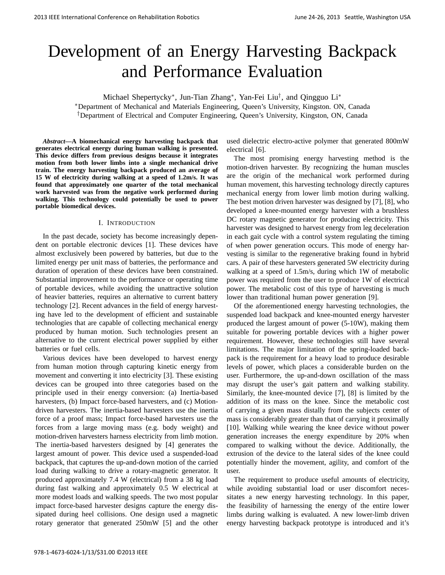# Development of an Energy Harvesting Backpack and Performance Evaluation

Michael Shepertycky∗, Jun-Tian Zhang∗, Yan-Fei Liu†, and Qingguo Li∗

∗Department of Mechanical and Materials Engineering, Queen's University, Kingston. ON, Canada †Department of Electrical and Computer Engineering, Queen's University, Kingston, ON, Canada

*Abstract***—A biomechanical energy harvesting backpack that generates electrical energy during human walking is presented. This device differs from previous designs because it integrates motion from both lower limbs into a single mechanical drive train. The energy harvesting backpack produced an average of 15 W of electricity during walking at a speed of 1.2m/s. It was found that approximately one quarter of the total mechanical work harvested was from the negative work performed during walking. This technology could potentially be used to power portable biomedical devices.**

## I. INTRODUCTION

In the past decade, society has become increasingly dependent on portable electronic devices [1]. These devices have almost exclusively been powered by batteries, but due to the limited energy per unit mass of batteries, the performance and duration of operation of these devices have been constrained. Substantial improvement to the performance or operating time of portable devices, while avoiding the unattractive solution of heavier batteries, requires an alternative to current battery technology [2]. Recent advances in the field of energy harvesting have led to the development of efficient and sustainable technologies that are capable of collecting mechanical energy produced by human motion. Such technologies present an alternative to the current electrical power supplied by either batteries or fuel cells.

Various devices have been developed to harvest energy from human motion through capturing kinetic energy from movement and converting it into electricity [3]. These existing devices can be grouped into three categories based on the principle used in their energy conversion: (a) Inertia-based harvesters, (b) Impact force-based harvesters, and (c) Motiondriven harvesters. The inertia-based harvesters use the inertia force of a proof mass; Impact force-based harvesters use the forces from a large moving mass (e.g. body weight) and motion-driven harvesters harness electricity from limb motion. The inertia-based harvesters designed by [4] generates the largest amount of power. This device used a suspended-load backpack, that captures the up-and-down motion of the carried load during walking to drive a rotary-magnetic generator. It produced approximately 7.4 W (electrical) from a 38 kg load during fast walking and approximately 0.5 W electrical at more modest loads and walking speeds. The two most popular impact force-based harvester designs capture the energy dissipated during heel collisions. One design used a magnetic rotary generator that generated 250mW [5] and the other used dielectric electro-active polymer that generated 800mW electrical [6].

The most promising energy harvesting method is the motion-driven harvester. By recognizing the human muscles are the origin of the mechanical work performed during human movement, this harvesting technology directly captures mechanical energy from lower limb motion during walking. The best motion driven harvester was designed by [7], [8], who developed a knee-mounted energy harvester with a brushless DC rotary magnetic generator for producing electricity. This harvester was designed to harvest energy from leg deceleration in each gait cycle with a control system regulating the timing of when power generation occurs. This mode of energy harvesting is similar to the regenerative braking found in hybrid cars. A pair of these harvesters generated 5W electricity during walking at a speed of 1.5m/s, during which 1W of metabolic power was required from the user to produce 1W of electrical power. The metabolic cost of this type of harvesting is much lower than traditional human power generation [9].

Of the aforementioned energy harvesting technologies, the suspended load backpack and knee-mounted energy harvester produced the largest amount of power (5-10W), making them suitable for powering portable devices with a higher power requirement. However, these technologies still have several limitations. The major limitation of the spring-loaded backpack is the requirement for a heavy load to produce desirable levels of power, which places a considerable burden on the user. Furthermore, the up-and-down oscillation of the mass may disrupt the user's gait pattern and walking stability. Similarly, the knee-mounted device [7], [8] is limited by the addition of its mass on the knee. Since the metabolic cost of carrying a given mass distally from the subjects center of mass is considerably greater than that of carrying it proximally [10]. Walking while wearing the knee device without power generation increases the energy expenditure by 20% when compared to walking without the device. Additionally, the extrusion of the device to the lateral sides of the knee could potentially hinder the movement, agility, and comfort of the user.

The requirement to produce useful amounts of electricity, while avoiding substantial load or user discomfort necessitates a new energy harvesting technology. In this paper, the feasibility of harnessing the energy of the entire lower limbs during walking is evaluated. A new lower-limb driven energy harvesting backpack prototype is introduced and it's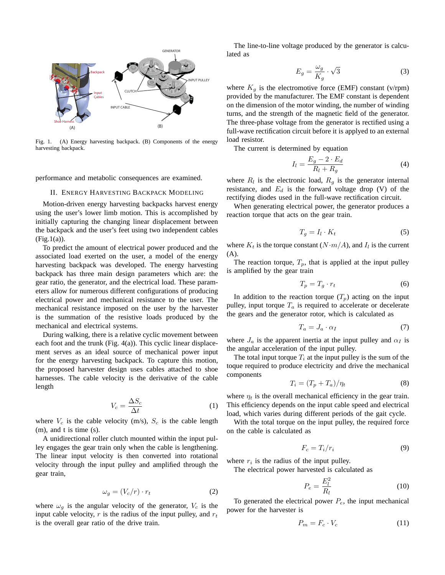

Fig. 1. (A) Energy harvesting backpack. (B) Components of the energy harvesting backpack.

performance and metabolic consequences are examined.

#### II. ENERGY HARVESTING BACKPACK MODELING

Motion-driven energy harvesting backpacks harvest energy using the user's lower limb motion. This is accomplished by initially capturing the changing linear displacement between the backpack and the user's feet using two independent cables  $(Fig.1(a))$ .

To predict the amount of electrical power produced and the associated load exerted on the user, a model of the energy harvesting backpack was developed. The energy harvesting backpack has three main design parameters which are: the gear ratio, the generator, and the electrical load. These parameters allow for numerous different configurations of producing electrical power and mechanical resistance to the user. The mechanical resistance imposed on the user by the harvester is the summation of the resistive loads produced by the mechanical and electrical systems.

During walking, there is a relative cyclic movement between each foot and the trunk (Fig. 4(a)). This cyclic linear displacement serves as an ideal source of mechanical power input for the energy harvesting backpack. To capture this motion, the proposed harvester design uses cables attached to shoe harnesses. The cable velocity is the derivative of the cable length

$$
V_c = \frac{\Delta S_c}{\Delta t} \tag{1}
$$

where  $V_c$  is the cable velocity (m/s),  $S_c$  is the cable length (m), and t is time (s).

A unidirectional roller clutch mounted within the input pulley engages the gear train only when the cable is lengthening. The linear input velocity is then converted into rotational velocity through the input pulley and amplified through the gear train,

$$
\omega_g = (V_c/r) \cdot r_t \tag{2}
$$

where  $\omega_g$  is the angular velocity of the generator,  $V_c$  is the input cable velocity,  $r$  is the radius of the input pulley, and  $r_t$ is the overall gear ratio of the drive train.

The line-to-line voltage produced by the generator is calculated as

$$
E_g = \frac{\omega_g}{K_g} \cdot \sqrt{3} \tag{3}
$$

where  $K_q$  is the electromotive force (EMF) constant (v/rpm) provided by the manufacturer. The EMF constant is dependent on the dimension of the motor winding, the number of winding turns, and the strength of the magnetic field of the generator. The three-phase voltage from the generator is rectified using a full-wave rectification circuit before it is applyed to an external load resistor.

The current is determined by equation

$$
I_l = \frac{E_g - 2 \cdot E_d}{R_l + R_g} \tag{4}
$$

where  $R_l$  is the electronic load,  $R_q$  is the generator internal resistance, and  $E_d$  is the forward voltage drop (V) of the rectifying diodes used in the full-wave rectification circuit.

When generating electrical power, the generator produces a reaction torque that acts on the gear train.

$$
T_g = I_l \cdot K_t \tag{5}
$$

where  $K_t$  is the torque constant  $(N \cdot m/A)$ , and  $I_l$  is the current (A).

The reaction torque,  $T_p$ , that is applied at the input pulley is amplified by the gear train

$$
T_p = T_g \cdot r_t \tag{6}
$$

In addition to the reaction torque  $(T_p)$  acting on the input pulley, input torque  $T_a$  is required to accelerate or decelerate the gears and the generator rotor, which is calculated as

$$
T_a = J_a \cdot \alpha_I \tag{7}
$$

where  $J_a$  is the apparent inertia at the input pulley and  $\alpha_I$  is the angular acceleration of the input pulley.

The total input torque  $T_i$  at the input pulley is the sum of the toque required to produce electricity and drive the mechanical components

$$
T_i = (T_p + T_a) / \eta_t \tag{8}
$$

where  $\eta_t$  is the overall mechanical efficiency in the gear train. This efficiency depends on the input cable speed and electrical load, which varies during different periods of the gait cycle.

With the total torque on the input pulley, the required force on the cable is calculated as

$$
F_c = T_i / r_i \tag{9}
$$

where  $r_i$  is the radius of the input pulley.

The electrical power harvested is calculated as

$$
P_e = \frac{E_l^2}{R_l} \tag{10}
$$

To generated the electrical power  $P_e$ , the input mechanical power for the harvester is

$$
P_m = F_c \cdot V_c \tag{11}
$$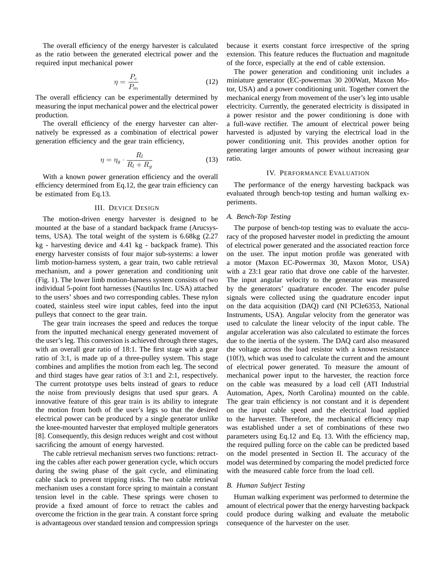The overall efficiency of the energy harvester is calculated as the ratio between the generated electrical power and the required input mechanical power

$$
\eta = \frac{P_e}{P_m} \tag{12}
$$

The overall efficiency can be experimentally determined by measuring the input mechanical power and the electrical power production.

The overall efficiency of the energy harvester can alternatively be expressed as a combination of electrical power generation efficiency and the gear train efficiency,

$$
\eta = \eta_g \cdot \frac{R_l}{R_l + R_g} \tag{13}
$$

With a known power generation efficiency and the overall efficiency determined from Eq.12, the gear train efficiency can be estimated from Eq.13.

## III. DEVICE DESIGN

The motion-driven energy harvester is designed to be mounted at the base of a standard backpack frame (Arucsystems, USA). The total weight of the system is 6.68kg (2.27 kg - harvesting device and 4.41 kg - backpack frame). This energy harvester consists of four major sub-systems: a lower limb motion-harness system, a gear train, two cable retrieval mechanism, and a power generation and conditioning unit (Fig. 1). The lower limb motion-harness system consists of two individual 5-point foot harnesses (Nautilus Inc. USA) attached to the users' shoes and two corresponding cables. These nylon coated, stainless steel wire input cables, feed into the input pulleys that connect to the gear train.

The gear train increases the speed and reduces the torque from the inputted mechanical energy generated movement of the user's leg. This conversion is achieved through three stages, with an overall gear ratio of 18:1. The first stage with a gear ratio of 3:1, is made up of a three-pulley system. This stage combines and amplifies the motion from each leg. The second and third stages have gear ratios of 3:1 and 2:1, respectively. The current prototype uses belts instead of gears to reduce the noise from previously designs that used spur gears. A innovative feature of this gear train is its ability to integrate the motion from both of the user's legs so that the desired electrical power can be produced by a single generator unlike the knee-mounted harvester that employed multiple generators [8]. Consequently, this design reduces weight and cost without sacrificing the amount of energy harvested.

The cable retrieval mechanism serves two functions: retracting the cables after each power generation cycle, which occurs during the swing phase of the gait cycle, and eliminating cable slack to prevent tripping risks. The two cable retrieval mechanism uses a constant force spring to maintain a constant tension level in the cable. These springs were chosen to provide a fixed amount of force to retract the cables and overcome the friction in the gear train. A constant force spring is advantageous over standard tension and compression springs because it exerts constant force irrespective of the spring extension. This feature reduces the fluctuation and magnitude of the force, especially at the end of cable extension.

The power generation and conditioning unit includes a miniature generator (EC-powermax 30 200Watt, Maxon Motor, USA) and a power conditioning unit. Together convert the mechanical energy from movement of the user's leg into usable electricity. Currently, the generated electricity is dissipated in a power resistor and the power conditioning is done with a full-wave rectifier. The amount of electrical power being harvested is adjusted by varying the electrical load in the power conditioning unit. This provides another option for generating larger amounts of power without increasing gear ratio.

#### IV. PERFORMANCE EVALUATION

The performance of the energy harvesting backpack was evaluated through bench-top testing and human walking experiments.

## *A. Bench-Top Testing*

The purpose of bench-top testing was to evaluate the accuracy of the proposed harvester model in predicting the amount of electrical power generated and the associated reaction force on the user. The input motion profile was generated with a motor (Maxon EC-Powermax 30, Maxon Motor, USA) with a 23:1 gear ratio that drove one cable of the harvester. The input angular velocity to the generator was measured by the generators' quadrature encoder. The encoder pulse signals were collected using the quadrature encoder input on the data acquisition (DAQ) card (NI PCIe6353, National Instruments, USA). Angular velocity from the generator was used to calculate the linear velocity of the input cable. The angular acceleration was also calculated to estimate the forces due to the inertia of the system. The DAQ card also measured the voltage across the load resistor with a known resistance  $(10\Omega)$ , which was used to calculate the current and the amount of electrical power generated. To measure the amount of mechanical power input to the harvester, the reaction force on the cable was measured by a load cell (ATI Industrial Automation, Apex, North Carolina) mounted on the cable. The gear train efficiency is not constant and it is dependent on the input cable speed and the electrical load applied to the harvester. Therefore, the mechanical efficiency map was established under a set of combinations of these two parameters using Eq.12 and Eq. 13. With the efficiency map, the required pulling force on the cable can be predicted based on the model presented in Section II. The accuracy of the model was determined by comparing the model predicted force with the measured cable force from the load cell.

### *B. Human Subject Testing*

Human walking experiment was performed to determine the amount of electrical power that the energy harvesting backpack could produce during walking and evaluate the metabolic consequence of the harvester on the user.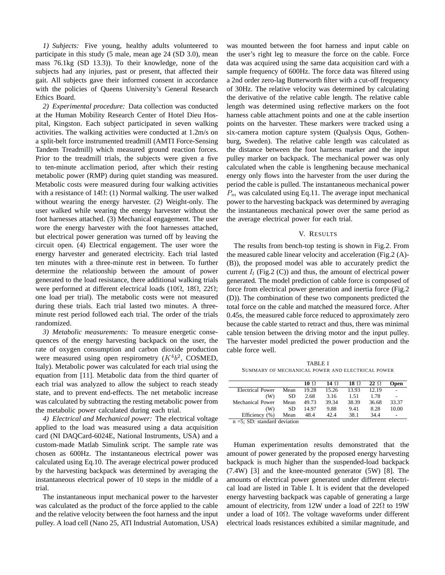*1) Subjects:* Five young, healthy adults volunteered to participate in this study (5 male, mean age 24 (SD 3.0), mean mass 76.1kg (SD 13.3)). To their knowledge, none of the subjects had any injuries, past or present, that affected their gait. All subjects gave their informed consent in accordance with the policies of Queens University's General Research Ethics Board.

*2) Experimental procedure:* Data collection was conducted at the Human Mobility Research Center of Hotel Dieu Hospital, Kingston. Each subject participated in seven walking activities. The walking activities were conducted at 1.2m/s on a split-belt force instrumented treadmill (AMTI Force-Sensing Tandem Treadmill) which measured ground reaction forces. Prior to the treadmill trials, the subjects were given a five to ten-minute acclimation period, after which their resting metabolic power (RMP) during quiet standing was measured. Metabolic costs were measured during four walking activities with a resistance of  $14\Omega$ : (1) Normal walking. The user walked without wearing the energy harvester. (2) Weight-only. The user walked while wearing the energy harvester without the foot harnesses attached. (3) Mechanical engagement. The user wore the energy harvester with the foot harnesses attached, but electrical power generation was turned off by leaving the circuit open. (4) Electrical engagement. The user wore the energy harvester and generated electricity. Each trial lasted ten minutes with a three-minute rest in between. To further determine the relationship between the amount of power generated to the load resistance, there additional walking trials were performed at different electrical loads (10 $\Omega$ , 18 $\Omega$ , 22 $\Omega$ ; one load per trial). The metabolic costs were not measured during these trials. Each trial lasted two minutes. A threeminute rest period followed each trial. The order of the trials randomized.

*3) Metabolic measurements:* To measure energetic consequences of the energy harvesting backpack on the user, the rate of oxygen consumption and carbon dioxide production were measured using open respirometry  $(K^4b^2, \text{COSMED})$ , Italy). Metabolic power was calculated for each trial using the equation from [11]. Metabolic data from the third quarter of each trial was analyzed to allow the subject to reach steady state, and to prevent end-effects. The net metabolic increase was calculated by subtracting the resting metabolic power from the metabolic power calculated during each trial.

*4) Electrical and Mechanical power:* The electrical voltage applied to the load was measured using a data acquisition card (NI DAQCard-6024E, National Instruments, USA) and a custom-made Matlab Simulink script. The sample rate was chosen as 600Hz. The instantaneous electrical power was calculated using Eq.10. The average electrical power produced by the harvesting backpack was determined by averaging the instantaneous electrical power of 10 steps in the middle of a trial.

The instantaneous input mechanical power to the harvester was calculated as the product of the force applied to the cable and the relative velocity between the foot harness and the input pulley. A load cell (Nano 25, ATI Industrial Automation, USA) was mounted between the foot harness and input cable on the user's right leg to measure the force on the cable. Force data was acquired using the same data acquisition card with a sample frequency of 600Hz. The force data was filtered using a 2nd order zero-lag Butterworth filter with a cut-off frequency of 30Hz. The relative velocity was determined by calculating the derivative of the relative cable length. The relative cable length was determined using reflective markers on the foot harness cable attachment points and one at the cable insertion points on the harvester. These markers were tracked using a six-camera motion capture system (Qualysis Oqus, Gothenburg, Sweden). The relative cable length was calculated as the distance between the foot harness marker and the input pulley marker on backpack. The mechanical power was only calculated when the cable is lengthening because mechanical energy only flows into the harvester from the user during the period the cable is pulled. The instantaneous mechanical power P*<sup>m</sup>* was calculated using Eq.11. The average input mechanical power to the harvesting backpack was determined by averaging the instantaneous mechanical power over the same period as the average electrical power for each trial.

#### V. RESULTS

The results from bench-top testing is shown in Fig.2. From the measured cable linear velocity and acceleration (Fig.2 (A)- (B)), the proposed model was able to accurately predict the current  $I_l$  (Fig.2 (C)) and thus, the amount of electrical power generated. The model prediction of cable force is composed of force from electrical power generation and inertia force (Fig.2 (D)). The combination of these two components predicted the total force on the cable and matched the measured force. After 0.45s, the measured cable force reduced to approximately zero because the cable started to retract and thus, there was minimal cable tension between the driving motor and the input pulley. The harvester model predicted the power production and the cable force well.

TABLE I SUMMARY OF MECHANICAL POWER AND ELECTRICAL POWER

|                  |      | 10 $\Omega$ | 14 $\Omega$ | 18 $\Omega$ | 22 $\Omega$ | Open  |
|------------------|------|-------------|-------------|-------------|-------------|-------|
| Electrical Power | Mean | 19.28       | 15.26       | 13.93       | 12.19       |       |
| (W)              | SD.  | 2.68        | 3.16        | 151         | 1.78        |       |
| Mechanical Power | Mean | 49.73       | 39.34       | 38.39       | 36.68       | 33.37 |
| (W)              | SD.  | 14.97       | 9.88        | 9.41        | 8.28        | 10.00 |
| Efficiency (%)   | Mean | 48.4        | 42.4        | 38.1        | 34.4        |       |

n =5; SD: standard deviation

Human experimentation results demonstrated that the amount of power generated by the proposed energy harvesting backpack is much higher than the suspended-load backpack (7.4W) [3] and the knee-mounted generator (5W) [8]. The amounts of electrical power generated under different electrical load are listed in Table I. It is evident that the developed energy harvesting backpack was capable of generating a large amount of electricity, from 12W under a load of  $22\Omega$  to 19W under a load of 10Ω. The voltage waveforms under different electrical loads resistances exhibited a similar magnitude, and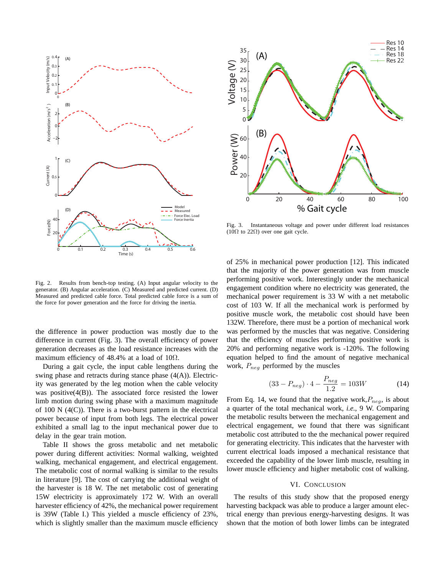



Fig. 3. Instantaneous voltage and power under different load resistances ( $10\Omega$  to 22 $\Omega$ ) over one gait cycle.

Fig. 2. Results from bench-top testing. (A) Input angular velocity to the generator. (B) Angular acceleration. (C) Measured and predicted current. (D) Measured and predicted cable force. Total predicted cable force is a sum of the force for power generation and the force for driving the inertia.

the difference in power production was mostly due to the difference in current (Fig. 3). The overall efficiency of power generation decreases as the load resistance increases with the maximum efficiency of 48.4% at a load of 10 $\Omega$ .

During a gait cycle, the input cable lengthens during the swing phase and retracts during stance phase (4(A)). Electricity was generated by the leg motion when the cable velocity was positive(4(B)). The associated force resisted the lower limb motion during swing phase with a maximum magnitude of 100 N  $(4(C))$ . There is a two-burst pattern in the electrical power because of input from both legs. The electrical power exhibited a small lag to the input mechanical power due to delay in the gear train motion.

Table II shows the gross metabolic and net metabolic power during different activities: Normal walking, weighted walking, mechanical engagement, and electrical engagement. The metabolic cost of normal walking is similar to the results in literature [9]. The cost of carrying the additional weight of the harvester is 18 W. The net metabolic cost of generating 15W electricity is approximately 172 W. With an overall harvester efficiency of 42%, the mechanical power requirement is 39W (Table I.) This yielded a muscle efficiency of 23%, which is slightly smaller than the maximum muscle efficiency

of 25% in mechanical power production [12]. This indicated that the majority of the power generation was from muscle performing positive work. Interestingly under the mechanical engagement condition where no electricity was generated, the mechanical power requirement is 33 W with a net metabolic cost of 103 W. If all the mechanical work is performed by positive muscle work, the metabolic cost should have been 132W. Therefore, there must be a portion of mechanical work was performed by the muscles that was negative. Considering that the efficiency of muscles performing positive work is 20% and performing negative work is -120%. The following equation helped to find the amount of negative mechanical work, P*neg* performed by the muscles

$$
(33 - P_{neg}) \cdot 4 - \frac{P_{neg}}{1.2} = 103W \tag{14}
$$

From Eq. 14, we found that the negative work,  $P_{neq}$ , is about a quarter of the total mechanical work, *i.e.*, 9 W. Comparing the metabolic results between the mechanical engagement and electrical engagement, we found that there was significant metabolic cost attributed to the the mechanical power required for generating electricity. This indicates that the harvester with current electrical loads imposed a mechanical resistance that exceeded the capability of the lower limb muscle, resulting in lower muscle efficiency and higher metabolic cost of walking.

### VI. CONCLUSION

The results of this study show that the proposed energy harvesting backpack was able to produce a larger amount electrical energy than previous energy-harvesting designs. It was shown that the motion of both lower limbs can be integrated